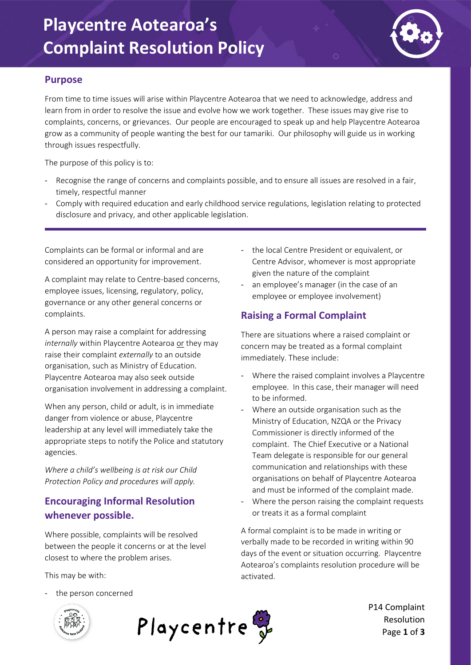### **Playcentre Aotearoa's Complaint Resolution Policy**



#### **Purpose**

From time to time issues will arise within Playcentre Aotearoa that we need to acknowledge, address and learn from in order to resolve the issue and evolve how we work together. These issues may give rise to complaints, concerns, or grievances. Our people are encouraged to speak up and help Playcentre Aotearoa grow as a community of people wanting the best for our tamariki. Our philosophy will guide us in working through issues respectfully.

The purpose of this policy is to:

- Recognise the range of concerns and complaints possible, and to ensure all issues are resolved in a fair, timely, respectful manner
- Comply with required education and early childhood service regulations, legislation relating to protected disclosure and privacy, and other applicable legislation.

Complaints can be formal or informal and are considered an opportunity for improvement.

A complaint may relate to Centre-based concerns, employee issues, licensing, regulatory, policy, governance or any other general concerns or complaints.

A person may raise a complaint for addressing *internally* within Playcentre Aotearoa or they may raise their complaint *externally* to an outside organisation, such as Ministry of Education. Playcentre Aotearoa may also seek outside organisation involvement in addressing a complaint.

When any person, child or adult, is in immediate danger from violence or abuse, Playcentre leadership at any level will immediately take the appropriate steps to notify the Police and statutory agencies.

*Where a child's wellbeing is at risk our Child Protection Policy and procedures will apply.*

### **Encouraging Informal Resolution whenever possible.**

Where possible, complaints will be resolved between the people it concerns or at the level closest to where the problem arises.

This may be with:

- the local Centre President or equivalent, or Centre Advisor, whomever is most appropriate given the nature of the complaint
- an employee's manager (in the case of an employee or employee involvement)

### **Raising a Formal Complaint**

There are situations where a raised complaint or concern may be treated as a formal complaint immediately. These include:

- Where the raised complaint involves a Playcentre employee. In this case, their manager will need to be informed.
- Where an outside organisation such as the Ministry of Education, NZQA or the Privacy Commissioner is directly informed of the complaint. The Chief Executive or a National Team delegate is responsible for our general communication and relationships with these organisations on behalf of Playcentre Aotearoa and must be informed of the complaint made.
- Where the person raising the complaint requests or treats it as a formal complaint

A formal complaint is to be made in writing or verbally made to be recorded in writing within 90 days of the event or situation occurring. Playcentre Aotearoa's complaints resolution procedure will be activated.

the person concerned





P14 Complaint Resolution Page **1** of **3**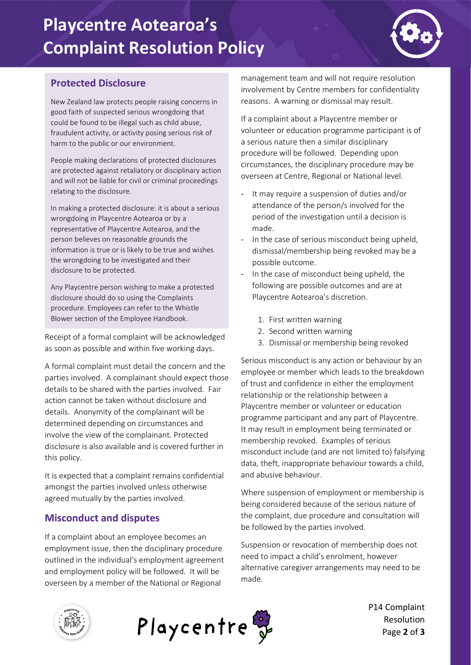# **Playcentre Aotearoa's Complaint Resolution Policy**



### **Protected Disclosure**

New Zealand law protects people raising concerns in good faith of suspected serious wrongdoing that could be found to be illegal such as child abuse, fraudulent activity, or activity posing serious risk of harm to the public or our environment.

People making declarations of protected disclosures are protected against retaliatory or disciplinary action and will not be liable for civil or criminal proceedings relating to the disclosure.

In making a protected disclosure: it is about a serious wrongdoing in Playcentre Aotearoa or by a representative of Playcentre Aotearoa, and the person believes on reasonable grounds the information is true or is likely to be true and wishes the wrongdoing to be investigated and their disclosure to be protected.

Any Playcentre person wishing to make a protected disclosure should do so using the Complaints procedure. Employees can refer to the Whistle Blower section of the Employee Handbook.

Receipt of a formal complaint will be acknowledged as soon as possible and within five working days.

A formal complaint must detail the concern and the parties involved. A complainant should expect those details to be shared with the parties involved. Fair action cannot be taken without disclosure and details. Anonymity of the complainant will be determined depending on circumstances and involve the view of the complainant. Protected disclosure is also available and is covered further in this policy.

It is expected that a complaint remains confidential amongst the parties involved unless otherwise agreed mutually by the parties involved.

#### **Misconduct and disputes**

If a complaint about an employee becomes an employment issue, then the disciplinary procedure outlined in the individual's employment agreement and employment policy will be followed. It will be overseen by a member of the National or Regional

management team and will not require resolution involvement by Centre members for confidentiality reasons. A warning or dismissal may result.

If a complaint about a Playcentre member or volunteer or education programme participant is of a serious nature then a similar disciplinary procedure will be followed. Depending upon circumstances, the disciplinary procedure may be overseen at Centre, Regional or National level.

- It may require a suspension of duties and/or attendance of the person/s involved for the period of the investigation until a decision is made.
- In the case of serious misconduct being upheld, dismissal/membership being revoked may be a possible outcome.
- In the case of misconduct being upheld, the following are possible outcomes and are at Playcentre Aotearoa's discretion.
	- 1. First written warning
	- 2. Second written warning
	- 3. Dismissal or membership being revoked

Serious misconduct is any action or behaviour by an employee or member which leads to the breakdown of trust and confidence in either the employment relationship or the relationship between a Playcentre member or volunteer or education programme participant and any part of Playcentre. It may result in employment being terminated or membership revoked. Examples of serious misconduct include (and are not limited to) falsifying data, theft, inappropriate behaviour towards a child, and abusive behaviour.

Where suspension of employment or membership is being considered because of the serious nature of the complaint, due procedure and consultation will be followed by the parties involved.

Suspension or revocation of membership does not need to impact a child's enrolment, however alternative caregiver arrangements may need to be made.





P14 Complaint Resolution Page **2** of **3**